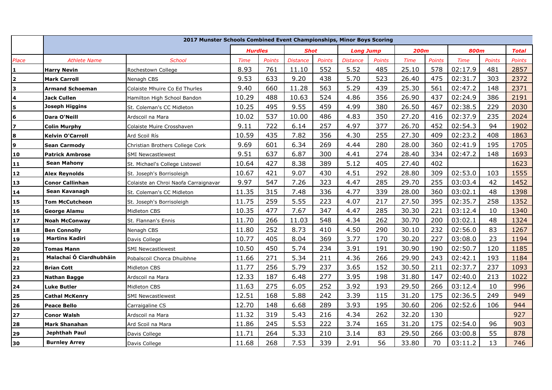|                         | 2017 Munster Schools Combined Event Championships, Minor Boys Scoring |                                      |                |               |                 |        |                  |               |             |               |             |               |               |
|-------------------------|-----------------------------------------------------------------------|--------------------------------------|----------------|---------------|-----------------|--------|------------------|---------------|-------------|---------------|-------------|---------------|---------------|
|                         |                                                                       |                                      | <b>Hurdles</b> |               | <b>Shot</b>     |        | <b>Long Jump</b> |               | <b>200m</b> |               | <b>800m</b> |               | <b>Total</b>  |
| Place                   | <b>Athlete Name</b>                                                   | <b>School</b>                        | <b>Time</b>    | <b>Points</b> | <b>Distance</b> | Points | <b>Distance</b>  | <b>Points</b> | <b>Time</b> | <b>Points</b> | <b>Time</b> | <b>Points</b> | <b>Points</b> |
| $\pmb{1}$               | <b>Harry Nevin</b>                                                    | Rochestown College                   | 8.93           | 761           | 11.10           | 552    | 5.52             | 485           | 25.10       | 578           | 02:17.9     | 481           | 2857          |
| $\overline{\mathbf{2}}$ | <b>Mark Carroll</b>                                                   | Nenagh CBS                           | 9.53           | 633           | 9.20            | 438    | 5.70             | 523           | 26.40       | 475           | 02:31.7     | 303           | 2372          |
| 3                       | <b>Armand Schoeman</b>                                                | Colaiste Mhuire Co Ed Thurles        | 9.40           | 660           | 11.28           | 563    | 5.29             | 439           | 25.30       | 561           | 02:47.2     | 148           | 2371          |
| $\overline{\mathbf{4}}$ | <b>Jack Cullen</b>                                                    | Hamilton High School Bandon          | 10.29          | 488           | 10.63           | 524    | 4.86             | 356           | 26.90       | 437           | 02:24.9     | 386           | 2191          |
| 5                       | <b>Joseph Higgins</b>                                                 | St. Coleman's CC Midleton            | 10.25          | 495           | 9.55            | 459    | 4.99             | 380           | 26.50       | 467           | 02:38.5     | 229           | 2030          |
| $\bf 6$                 | Dara O'Neill                                                          | Ardscoil na Mara                     | 10.02          | 537           | 10.00           | 486    | 4.83             | 350           | 27.20       | 416           | 02:37.9     | 235           | 2024          |
| $\overline{\mathbf{z}}$ | <b>Colin Murphy</b>                                                   | Colaiste Muire Crosshaven            | 9.11           | 722           | 6.14            | 257    | 4.97             | 377           | 26.70       | 452           | 02:54.3     | 94            | 1902          |
| 8                       | <b>Kelvin O'Carroll</b>                                               | Ard Scoil Rís                        | 10.59          | 435           | 7.82            | 356    | 4.30             | 255           | 27.30       | 409           | 02:23.2     | 408           | 1863          |
| 9                       | <b>Sean Carmody</b>                                                   | Christian Brothers College Cork      | 9.69           | 601           | 6.34            | 269    | 4.44             | 280           | 28.00       | 360           | 02:41.9     | 195           | 1705          |
| 10                      | <b>Patrick Ambrose</b>                                                | <b>SMI Newcastlewest</b>             | 9.51           | 637           | 6.87            | 300    | 4.41             | 274           | 28.40       | 334           | 02:47.2     | 148           | 1693          |
| 11                      | <b>Sean Mahony</b>                                                    | St. Michael's College Listowel       | 10.64          | 427           | 8.38            | 389    | 5.12             | 405           | 27.40       | 402           |             |               | 1623          |
| $12$                    | <b>Alex Reynolds</b>                                                  | St. Joseph's Borrisoleigh            | 10.67          | 421           | 9.07            | 430    | 4.51             | 292           | 28.80       | 309           | 02:53.0     | 103           | 1555          |
| 13                      | <b>Conor Callinhan</b>                                                | Colaiste an Chroi Naofa Carraignavar | 9.97           | 547           | 7.26            | 323    | 4.47             | 285           | 29.70       | 255           | 03:03.4     | 42            | 1452          |
| 14                      | Sean Kavanagh                                                         | St. Coleman's CC Midleton            | 11.35          | 315           | 7.48            | 336    | 4.77             | 339           | 28.00       | 360           | 03:02.1     | 48            | 1398          |
| 15                      | <b>Tom McCutcheon</b>                                                 | St. Joseph's Borrisoleigh            | 11.75          | 259           | 5.55            | 223    | 4.07             | 217           | 27.50       | 395           | 02:35.7     | 258           | 1352          |
| 16                      | <b>George Alamu</b>                                                   | Midleton CBS                         | 10.35          | 477           | 7.67            | 347    | 4.47             | 285           | 30.30       | 221           | 03:12.4     | 10            | 1340          |
| 17                      | <b>Noah McConway</b>                                                  | St. Flannan's Ennis                  | 11.70          | 266           | 11.03           | 548    | 4.34             | 262           | 30.70       | 200           | 03:02.1     | 48            | 1324          |
| 18                      | <b>Ben Connolly</b>                                                   | Nenagh CBS                           | 11.80          | 252           | 8.73            | 410    | 4.50             | 290           | 30.10       | 232           | 02:56.0     | 83            | 1267          |
| <b>19</b>               | <b>Martins Kadiri</b>                                                 | Davis College                        | 10.77          | 405           | 8.04            | 369    | 3.77             | 170           | 30.20       | 227           | 03:08.0     | 23            | 1194          |
| 20                      | <b>Tomas Mann</b>                                                     | <b>SMI Newcastlewest</b>             | 10.50          | 450           | 5.74            | 234    | 3.91             | 191           | 30.90       | 190           | 02:50.7     | 120           | 1185          |
| 21                      | Malachaí Ó Ciardhubháin                                               | Pobalscoil Chorca Dhuibhne           | 11.66          | 271           | 5.34            | 211    | 4.36             | 266           | 29.90       | 243           | 02:42.1     | 193           | 1184          |
| 22                      | <b>Brian Cott</b>                                                     | Midleton CBS                         | 11.77          | 256           | 5.79            | 237    | 3.65             | 152           | 30.50       | 211           | 02:37.7     | 237           | 1093          |
| 23                      | <b>Nathan Bagge</b>                                                   | Ardscoil na Mara                     | 12.33          | 187           | 6.48            | 277    | 3.95             | 198           | 31.80       | 147           | 02:40.0     | 213           | 1022          |
| 24                      | <b>Luke Butler</b>                                                    | Midleton CBS                         | 11.63          | 275           | 6.05            | 252    | 3.92             | 193           | 29.50       | 266           | 03:12.4     | 10            | 996           |
| 25                      | <b>Cathal McKenry</b>                                                 | <b>SMI Newcastlewest</b>             | 12.51          | 168           | 5.88            | 242    | 3.39             | 115           | 31.20       | 175           | 02:36.5     | 249           | 949           |
| 26                      | <b>Peace Bello</b>                                                    | Carraigaline CS                      | 12.70          | 148           | 6.68            | 289    | 3.93             | 195           | 30.60       | 206           | 02:52.6     | 106           | 944           |
| 27                      | <b>Conor Walsh</b>                                                    | Ardscoil na Mara                     | 11.32          | 319           | 5.43            | 216    | 4.34             | 262           | 32.20       | 130           |             |               | 927           |
| 28                      | Mark Shanahan                                                         | Ard Scoil na Mara                    | 11.86          | 245           | 5.53            | 222    | 3.74             | 165           | 31.20       | 175           | 02:54.0     | 96            | 903           |
| 29                      | Jephthah Paul                                                         | Davis College                        | 11.71          | 264           | 5.33            | 210    | 3.14             | 83            | 29.50       | 266           | 03:00.8     | 55            | 878           |
| 30                      | <b>Burnley Arrey</b>                                                  | Davis College                        | 11.68          | 268           | 7.53            | 339    | 2.91             | 56            | 33.80       | 70            | 03:11.2     | 13            | 746           |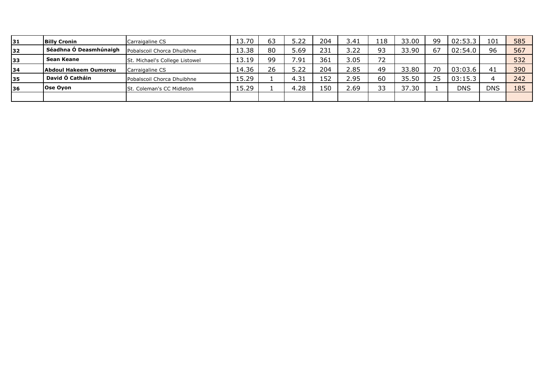| 31        | <b>Billy Cronin</b>    | Carraigaline CS                  | 13.70 | 63 | 5.22 | 204 | 3.41 | 118 | 33.00 | 99 | 02:53.3    | 101        | 585 |
|-----------|------------------------|----------------------------------|-------|----|------|-----|------|-----|-------|----|------------|------------|-----|
| 32        | Séadhna Ó Deasmhúnaigh | Pobalscoil Chorca Dhuibhne       | 13.38 | 80 | 5.69 | 231 | 3.22 | רם  | 33.90 | 67 | 02:54.0    | 96         | 567 |
| 133       | Sean Keane             | St. Michael's College Listowel   | 13.19 | 99 | 7.91 | 361 | 3.05 | 72  |       |    |            |            | 532 |
| 34        | Abdoul Hakeem Oumorou  | Carraigaline CS                  | 14.36 | 26 | 5.22 | 204 | 2.85 | 49  | 33.80 | 70 | 03:03.6    | 41         | 390 |
| 135       | David Ó Catháin        | Pobalscoil Chorca Dhuibhne       | 15.29 |    | 4.31 | 152 | 2.95 | 60  | 35.50 | 25 | 03:15.3    |            | 242 |
| <b>36</b> | Ose Oyon               | <b>St. Coleman's CC Midleton</b> | 15.29 |    | 4.28 | 150 | 2.69 | J J | 37.30 |    | <b>DNS</b> | <b>DNS</b> | 185 |
|           |                        |                                  |       |    |      |     |      |     |       |    |            |            |     |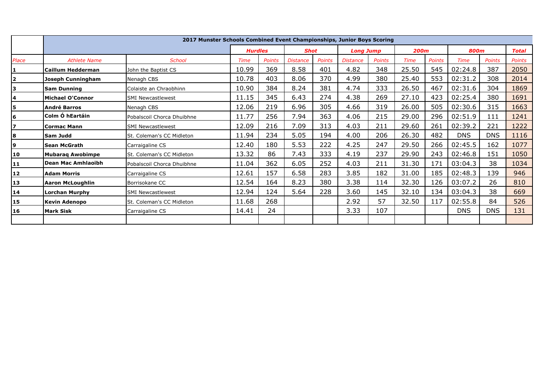|                | 2017 Munster Schools Combined Event Championships, Junior Boys Scoring |                            |       |                |                 |               |                 |                  |             |               |            |               |               |
|----------------|------------------------------------------------------------------------|----------------------------|-------|----------------|-----------------|---------------|-----------------|------------------|-------------|---------------|------------|---------------|---------------|
|                |                                                                        |                            |       | <b>Hurdles</b> |                 | <b>Shot</b>   |                 | <b>Long Jump</b> |             | <b>200m</b>   |            | <b>800m</b>   |               |
| Place          | <b>Athlete Name</b>                                                    | <b>School</b>              | Time  | <b>Points</b>  | <b>Distance</b> | <b>Points</b> | <b>Distance</b> | <b>Points</b>    | <b>Time</b> | <b>Points</b> | Time       | <b>Points</b> | <b>Points</b> |
| 1.             | <b>Caillum Hedderman</b>                                               | John the Baptist CS        | 10.99 | 369            | 8.58            | 401           | 4.82            | 348              | 25.50       | 545           | 02:24.8    | 387           | 2050          |
| $\overline{2}$ | Joseph Cunningham                                                      | Nenagh CBS                 | 10.78 | 403            | 8.06            | 370           | 4.99            | 380              | 25.40       | 553           | 02:31.2    | 308           | 2014          |
| 3              | <b>Sam Dunning</b>                                                     | Colaiste an Chraobhinn     | 10.90 | 384            | 8.24            | 381           | 4.74            | 333              | 26.50       | 467           | 02:31.6    | 304           | 1869          |
| 4              | <b>Michael O'Connor</b>                                                | <b>SMI Newcastlewest</b>   | 11.15 | 345            | 6.43            | 274           | 4.38            | 269              | 27.10       | 423           | 02:25.4    | 380           | 1691          |
| 5              | <b>André Barros</b>                                                    | Nenagh CBS                 | 12.06 | 219            | 6.96            | 305           | 4.66            | 319              | 26.00       | 505           | 02:30.6    | 315           | 1663          |
| 6              | Colm Ó hEartáin                                                        | Pobalscoil Chorca Dhuibhne | 11.77 | 256            | 7.94            | 363           | 4.06            | 215              | 29.00       | 296           | 02:51.9    | 111           | 1241          |
| 7              | <b>Cormac Mann</b>                                                     | <b>SMI Newcastlewest</b>   | 12.09 | 216            | 7.09            | 313           | 4.03            | 211              | 29.60       | 261           | 02:39.2    | 221           | 1222          |
| 8              | Sam Judd                                                               | St. Coleman's CC Midleton  | 11.94 | 234            | 5.05            | 194           | 4.00            | 206              | 26.30       | 482           | <b>DNS</b> | <b>DNS</b>    | 1116          |
| 9              | <b>Sean McGrath</b>                                                    | Carraigaline CS            | 12.40 | 180            | 5.53            | 222           | 4.25            | 247              | 29.50       | 266           | 02:45.5    | 162           | 1077          |
| 10             | <b>Mubarag Awobimpe</b>                                                | St. Coleman's CC Midleton  | 13.32 | 86             | 7.43            | 333           | 4.19            | 237              | 29.90       | 243           | 02:46.8    | 151           | 1050          |
| 11             | Dean Mac Amhlaoibh                                                     | Pobalscoil Chorca Dhuibhne | 11.04 | 362            | 6.05            | 252           | 4.03            | 211              | 31.30       | 171           | 03:04.3    | 38            | 1034          |
| 12             | <b>Adam Morris</b>                                                     | Carraigaline CS            | 12.61 | 157            | 6.58            | 283           | 3.85            | 182              | 31.00       | 185           | 02:48.3    | 139           | 946           |
| 13             | <b>Aaron McLoughlin</b>                                                | Borrisokane CC             | 12.54 | 164            | 8.23            | 380           | 3.38            | 114              | 32.30       | 126           | 03:07.2    | 26            | 810           |
| 14             | <b>Lorchan Murphy</b>                                                  | <b>SMI Newcastlewest</b>   | 12.94 | 124            | 5.64            | 228           | 3.60            | 145              | 32.10       | 134           | 03:04.3    | 38            | 669           |
| 15             | <b>Kevin Adenopo</b>                                                   | St. Coleman's CC Midleton  | 11.68 | 268            |                 |               | 2.92            | 57               | 32.50       | 117           | 02:55.8    | 84            | 526           |
| <b>16</b>      | <b>Mark Sisk</b>                                                       | Carraigaline CS            | 14.41 | 24             |                 |               | 3.33            | 107              |             |               | <b>DNS</b> | <b>DNS</b>    | 131           |
|                |                                                                        |                            |       |                |                 |               |                 |                  |             |               |            |               |               |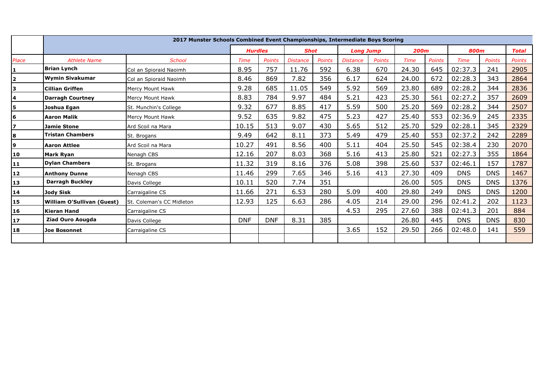|                         | 2017 Munster Schools Combined Event Championships, Intermediate Boys Scoring |                           |                |               |                 |               |                  |               |             |               |             |               |               |
|-------------------------|------------------------------------------------------------------------------|---------------------------|----------------|---------------|-----------------|---------------|------------------|---------------|-------------|---------------|-------------|---------------|---------------|
|                         |                                                                              |                           | <b>Hurdles</b> |               | <b>Shot</b>     |               | <b>Long Jump</b> |               | <b>200m</b> |               | <b>800m</b> |               | <b>Total</b>  |
| Place                   | <b>Athlete Name</b>                                                          | <b>School</b>             | Time           | <b>Points</b> | <b>Distance</b> | <b>Points</b> | <b>Distance</b>  | <b>Points</b> | Time        | <b>Points</b> | Time        | <b>Points</b> | <b>Points</b> |
|                         | <b>Brian Lynch</b>                                                           | Col an Spioraid Naoimh    | 8.95           | 757           | 11.76           | 592           | 6.38             | 670           | 24.30       | 645           | 02:37.3     | 241           | 2905          |
| $\overline{\mathbf{2}}$ | <b>Wymin Sivakumar</b>                                                       | Col an Spioraid Naoimh    | 8.46           | 869           | 7.82            | 356           | 6.17             | 624           | 24.00       | 672           | 02:28.3     | 343           | 2864          |
| 3                       | <b>Cillian Griffen</b>                                                       | Mercy Mount Hawk          | 9.28           | 685           | 11.05           | 549           | 5.92             | 569           | 23.80       | 689           | 02:28.2     | 344           | 2836          |
| 4                       | <b>Darragh Courtney</b>                                                      | Mercy Mount Hawk          | 8.83           | 784           | 9.97            | 484           | 5.21             | 423           | 25.30       | 561           | 02:27.2     | 357           | 2609          |
| 5                       | Joshua Egan                                                                  | St. Munchin's College     | 9.32           | 677           | 8.85            | 417           | 5.59             | 500           | 25.20       | 569           | 02:28.2     | 344           | 2507          |
| 6                       | <b>Aaron Malik</b>                                                           | Mercy Mount Hawk          | 9.52           | 635           | 9.82            | 475           | 5.23             | 427           | 25.40       | 553           | 02:36.9     | 245           | 2335          |
| $\overline{z}$          | <b>Jamie Stone</b>                                                           | Ard Scoil na Mara         | 10.15          | 513           | 9.07            | 430           | 5.65             | 512           | 25.70       | 529           | 02:28.1     | 345           | 2329          |
| 8                       | <b>Tristan Chambers</b>                                                      | St. Brogans               | 9.49           | 642           | 8.11            | 373           | 5.49             | 479           | 25.40       | 553           | 02:37.2     | 242           | 2289          |
| 9                       | <b>Aaron Attlee</b>                                                          | Ard Scoil na Mara         | 10.27          | 491           | 8.56            | 400           | 5.11             | 404           | 25.50       | 545           | 02:38.4     | 230           | 2070          |
| 10                      | <b>Mark Ryan</b>                                                             | Nenagh CBS                | 12.16          | 207           | 8.03            | 368           | 5.16             | 413           | 25.80       | 521           | 02:27.3     | 355           | 1864          |
| 11                      | <b>Dylan Chambers</b>                                                        | St. Brogans               | 11.32          | 319           | 8.16            | 376           | 5.08             | 398           | 25.60       | 537           | 02:46.1     | 157           | 1787          |
| 12                      | <b>Anthony Dunne</b>                                                         | Nenagh CBS                | 11.46          | 299           | 7.65            | 346           | 5.16             | 413           | 27.30       | 409           | <b>DNS</b>  | <b>DNS</b>    | 1467          |
| 13                      | <b>Darragh Buckley</b>                                                       | Davis College             | 10.11          | 520           | 7.74            | 351           |                  |               | 26.00       | 505           | <b>DNS</b>  | <b>DNS</b>    | 1376          |
| 14                      | Jody Sisk                                                                    | Carraigaline CS           | 11.66          | 271           | 6.53            | 280           | 5.09             | 400           | 29.80       | 249           | <b>DNS</b>  | <b>DNS</b>    | 1200          |
| 15                      | <b>William O'Sullivan (Guest)</b>                                            | St. Coleman's CC Midleton | 12.93          | 125           | 6.63            | 286           | 4.05             | 214           | 29.00       | 296           | 02:41.2     | 202           | 1123          |
| <b>16</b>               | <b>Kieran Hand</b>                                                           | Carraigaline CS           |                |               |                 |               | 4.53             | 295           | 27.60       | 388           | 02:41.3     | 201           | 884           |
| 17                      | <b>Ziad Ouro Aougda</b>                                                      | Davis College             | <b>DNF</b>     | <b>DNF</b>    | 8.31            | 385           |                  |               | 26.80       | 445           | <b>DNS</b>  | <b>DNS</b>    | 830           |
| 18                      | <b>Joe Bosonnet</b>                                                          | Carraigaline CS           |                |               |                 |               | 3.65             | 152           | 29.50       | 266           | 02:48.0     | 141           | 559           |
|                         |                                                                              |                           |                |               |                 |               |                  |               |             |               |             |               |               |